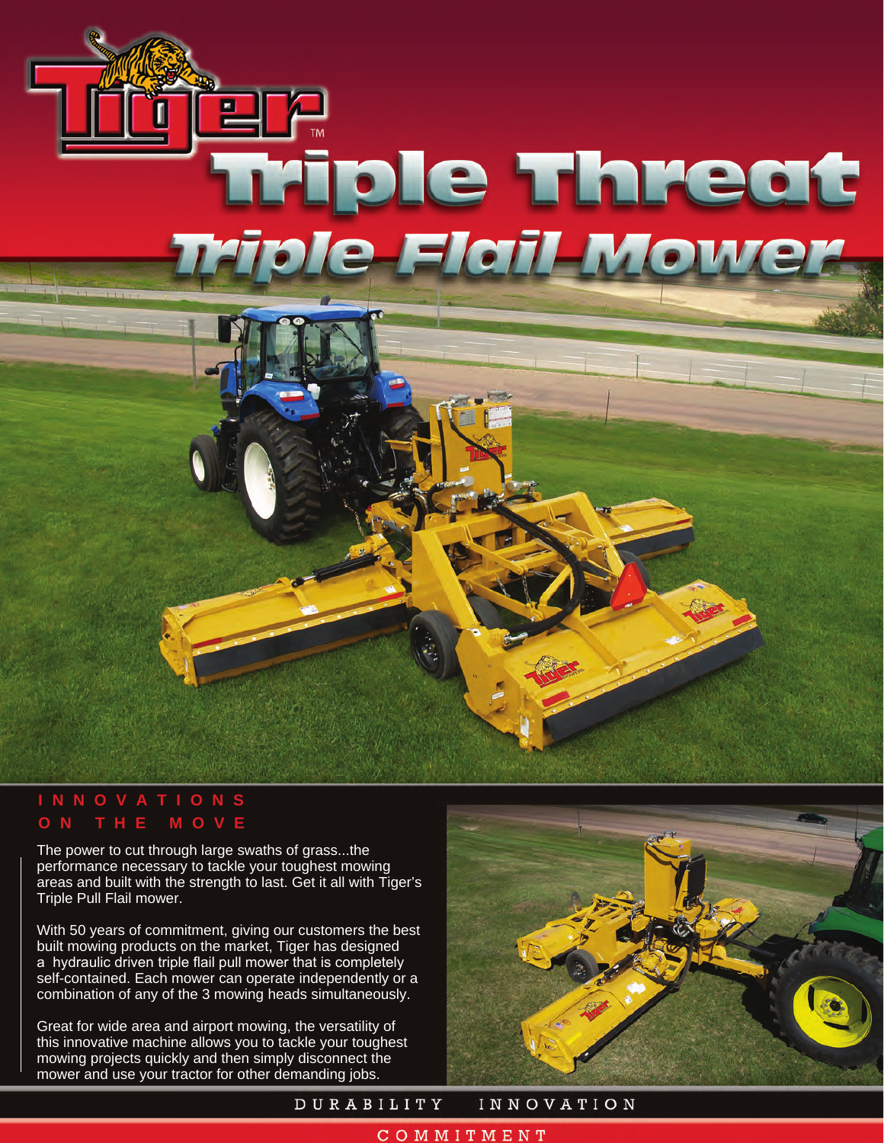# P Triple Threat<br>iple-Flail-Mower

# **INNOVATIONS ON THE MOVE**

The power to cut through large swaths of grass...the performance necessary to tackle your toughest mowing areas and built with the strength to last. Get it all with Tiger's Triple Pull Flail mower.

With 50 years of commitment, giving our customers the best built mowing products on the market, Tiger has designed a hydraulic driven triple flail pull mower that is completely self-contained. Each mower can operate independently or a combination of any of the 3 mowing heads simultaneously.

Great for wide area and airport mowing, the versatility of this innovative machine allows you to tackle your toughest mowing projects quickly and then simply disconnect the mower and use your tractor for other demanding jobs.



DURABILITY **INNOVATION** 

### COMMITMENT